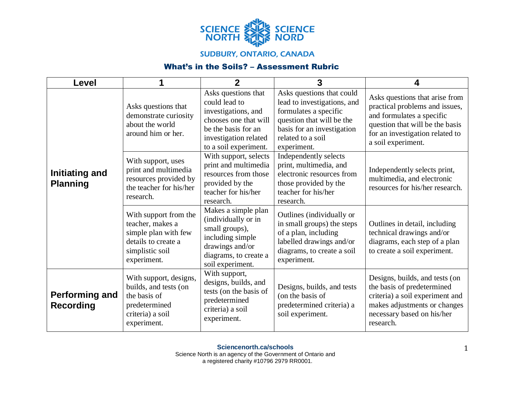

## **SUDBURY, ONTARIO, CANADA**

## What's in the Soils? – Assessment Rubric

| <b>Level</b>                              |                                                                                                                            | $\overline{2}$                                                                                                                                                | 3                                                                                                                                                                                | 4                                                                                                                                                                                         |
|-------------------------------------------|----------------------------------------------------------------------------------------------------------------------------|---------------------------------------------------------------------------------------------------------------------------------------------------------------|----------------------------------------------------------------------------------------------------------------------------------------------------------------------------------|-------------------------------------------------------------------------------------------------------------------------------------------------------------------------------------------|
| Initiating and<br><b>Planning</b>         | Asks questions that<br>demonstrate curiosity<br>about the world<br>around him or her.                                      | Asks questions that<br>could lead to<br>investigations, and<br>chooses one that will<br>be the basis for an<br>investigation related<br>to a soil experiment. | Asks questions that could<br>lead to investigations, and<br>formulates a specific<br>question that will be the<br>basis for an investigation<br>related to a soil<br>experiment. | Asks questions that arise from<br>practical problems and issues,<br>and formulates a specific<br>question that will be the basis<br>for an investigation related to<br>a soil experiment. |
|                                           | With support, uses<br>print and multimedia<br>resources provided by<br>the teacher for his/her<br>research.                | With support, selects<br>print and multimedia<br>resources from those<br>provided by the<br>teacher for his/her<br>research.                                  | Independently selects<br>print, multimedia, and<br>electronic resources from<br>those provided by the<br>teacher for his/her<br>research.                                        | Independently selects print,<br>multimedia, and electronic<br>resources for his/her research.                                                                                             |
|                                           | With support from the<br>teacher, makes a<br>simple plan with few<br>details to create a<br>simplistic soil<br>experiment. | Makes a simple plan<br>(individually or in<br>small groups),<br>including simple<br>drawings and/or<br>diagrams, to create a<br>soil experiment.              | Outlines (individually or<br>in small groups) the steps<br>of a plan, including<br>labelled drawings and/or<br>diagrams, to create a soil<br>experiment.                         | Outlines in detail, including<br>technical drawings and/or<br>diagrams, each step of a plan<br>to create a soil experiment.                                                               |
| <b>Performing and</b><br><b>Recording</b> | With support, designs,<br>builds, and tests (on<br>the basis of<br>predetermined<br>criteria) a soil<br>experiment.        | With support,<br>designs, builds, and<br>tests (on the basis of<br>predetermined<br>criteria) a soil<br>experiment.                                           | Designs, builds, and tests<br>(on the basis of<br>predetermined criteria) a<br>soil experiment.                                                                                  | Designs, builds, and tests (on<br>the basis of predetermined<br>criteria) a soil experiment and<br>makes adjustments or changes<br>necessary based on his/her<br>research.                |